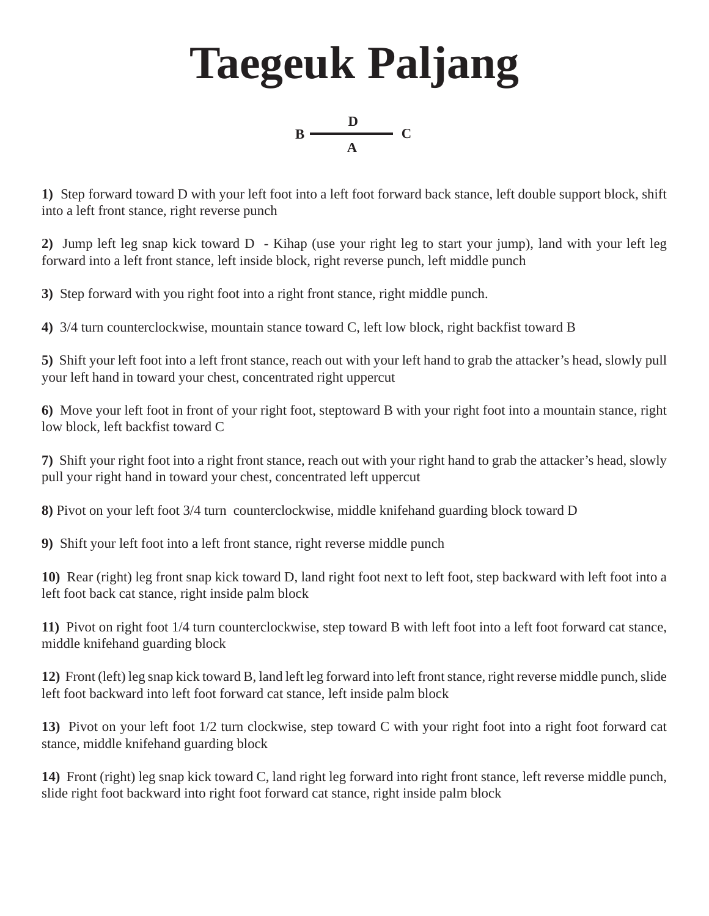## **Taegeuk Paljang**



**1)** Step forward toward D with your left foot into a left foot forward back stance, left double support block, shift into a left front stance, right reverse punch

**2)** Jump left leg snap kick toward D - Kihap (use your right leg to start your jump), land with your left leg forward into a left front stance, left inside block, right reverse punch, left middle punch

**3)** Step forward with you right foot into a right front stance, right middle punch.

**4)** 3/4 turn counterclockwise, mountain stance toward C, left low block, right backfist toward B

**5)** Shift your left foot into a left front stance, reach out with your left hand to grab the attacker's head, slowly pull your left hand in toward your chest, concentrated right uppercut

**6)** Move your left foot in front of your right foot, steptoward B with your right foot into a mountain stance, right low block, left backfist toward C

**7)** Shift your right foot into a right front stance, reach out with your right hand to grab the attacker's head, slowly pull your right hand in toward your chest, concentrated left uppercut

**8)** Pivot on your left foot 3/4 turn counterclockwise, middle knifehand guarding block toward D

**9)** Shift your left foot into a left front stance, right reverse middle punch

**10)** Rear (right) leg front snap kick toward D, land right foot next to left foot, step backward with left foot into a left foot back cat stance, right inside palm block

**11)** Pivot on right foot 1/4 turn counterclockwise, step toward B with left foot into a left foot forward cat stance, middle knifehand guarding block

**12)** Front (left) leg snap kick toward B, land left leg forward into left front stance, right reverse middle punch, slide left foot backward into left foot forward cat stance, left inside palm block

**13)** Pivot on your left foot 1/2 turn clockwise, step toward C with your right foot into a right foot forward cat stance, middle knifehand guarding block

**14)** Front (right) leg snap kick toward C, land right leg forward into right front stance, left reverse middle punch, slide right foot backward into right foot forward cat stance, right inside palm block